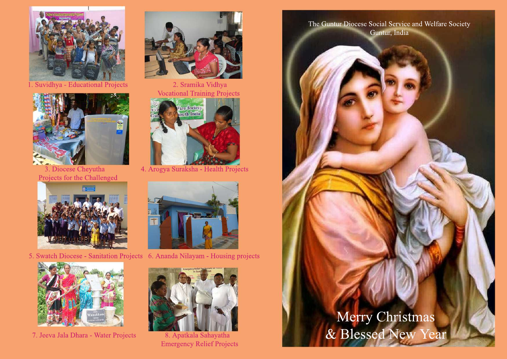

1. Suvidhya - Educational Projects 2. Sramika Vidhya



Projects for the Challenged





7. Jeeva Jala Dhara - Water Projects 8. Apatkala Sahayatha



Vocational Training Projects



3. Diocese Cheyutha 4. Arogya Suraksha - Health Projects



5. Swatch Diocese - Sanitation Projects 6. Ananda Nilayam - Housing projects



**Emergency Relief Projects** 

The Guntur Diocese Social Service and Welfare Society Guntur, India

## Merry Christmas & Blessed New Year